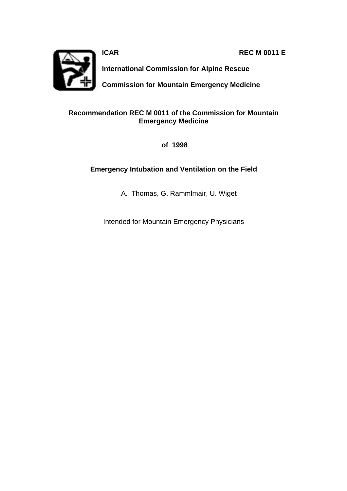**ICAR REC M 0011 E** 



**International Commission for Alpine Rescue**

**Commission for Mountain Emergency Medicine**

### **Recommendation REC M 0011 of the Commission for Mountain Emergency Medicine**

 **of 1998**

## **Emergency Intubation and Ventilation on the Field**

A. Thomas, G. Rammlmair, U. Wiget

Intended for Mountain Emergency Physicians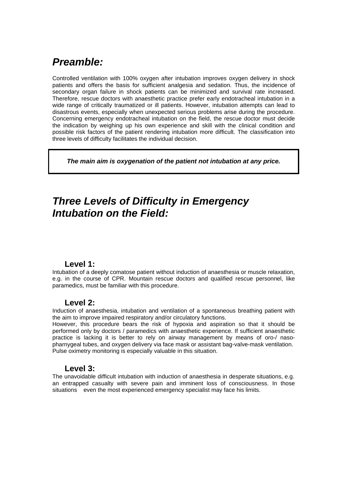# *Preamble:*

Controlled ventilation with 100% oxygen after intubation improves oxygen delivery in shock patients and offers the basis for sufficient analgesia and sedation. Thus, the incidence of secondary organ failure in shock patients can be minimized and survival rate increased. Therefore, rescue doctors with anaesthetic practice prefer early endotracheal intubation in a wide range of critically traumatized or ill patients. However, intubation attempts can lead to disastrous events, especially when unexpected serious problems arise during the procedure. Concerning emergency endotracheal intubation on the field, the rescue doctor must decide the indication by weighing up his own experience and skill with the clinical condition and possible risk factors of the patient rendering intubation more difficult. The classification into three levels of difficulty facilitates the individual decision.

*The main aim is oxygenation of the patient not intubation at any price.*

# *Three Levels of Difficulty in Emerg***e***ncy Intubation on the Field:*

### **Level 1:**

Intubation of a deeply comatose patient without induction of anaesthesia or muscle relaxation, e.g. in the course of CPR. Mountain rescue doctors and qualified rescue personnel, like paramedics, must be familiar with this procedure.

#### **Level 2:**

Induction of anaesthesia, intubation and ventilation of a spontaneous breathing patient with the aim to improve impaired respiratory and/or circulatory functions.

However, this procedure bears the risk of hypoxia and aspiration so that it should be performed only by doctors / paramedics with anaesthetic experience. If sufficient anaesthetic practice is lacking it is better to rely on airway management by means of oro-/ nasopharnygeal tubes, and oxygen delivery via face mask or assistant bag-valve-mask ventilation. Pulse oximetry monitoring is especially valuable in this situation.

### **Level 3:**

The unavoidable difficult intubation with induction of anaesthesia in desperate situations, e.g. an entrapped casualty with severe pain and imminent loss of consciousness. In those situations even the most experienced emergency specialist may face his limits.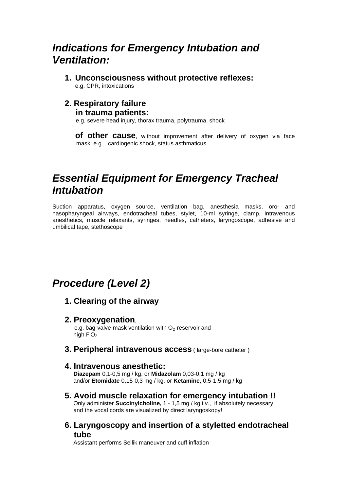# *Indications for Emergency Intubation and Ventilation:*

**1. Unconsciousness without protective reflexes:** e.g. CPR, intoxications

## **2. Respiratory failure**

#### **in trauma patients:**

e.g. severe head injury, thorax trauma, polytrauma, shock

**of other cause**, without improvement after delivery of oxygen via face mask: e.g. cardiogenic shock, status asthmaticus

# *Essential Equipment for Emergency Tracheal Intubation*

Suction apparatus, oxygen source, ventilation bag, anesthesia masks, oro- and nasopharyngeal airways, endotracheal tubes, stylet, 10-ml syringe, clamp, intravenous anesthetics, muscle relaxants, syringes, needles, catheters, laryngoscope, adhesive and umbilical tape, stethoscope

# *Procedure (Level 2)*

## **1. Clearing of the airway**

### **2. Preoxygenation**,

e.g. bag-valve-mask ventilation with  $O<sub>2</sub>$ -reservoir and high  $F_1O_2$ 

**3. Peripheral intravenous access** ( large-bore catheter )

### **4. Intravenous anesthetic:**

 **Diazepam** 0,1-0,5 mg / kg, or **Midazolam** 0,03-0,1 mg / kg and/or **Etomidate** 0,15-0,3 mg / kg, or **Ketamine**, 0,5-1,5 mg / kg

## **5. Avoid muscle relaxation for emergency intubation !!**

 Only administer **Succinylcholine,** 1 - 1,5 mg / kg i.v., if absolutely necessary, and the vocal cords are visualized by direct laryngoskopy!

**6. Laryngoscopy and insertion of a styletted endotracheal tube**

Assistant performs Sellik maneuver and cuff inflation